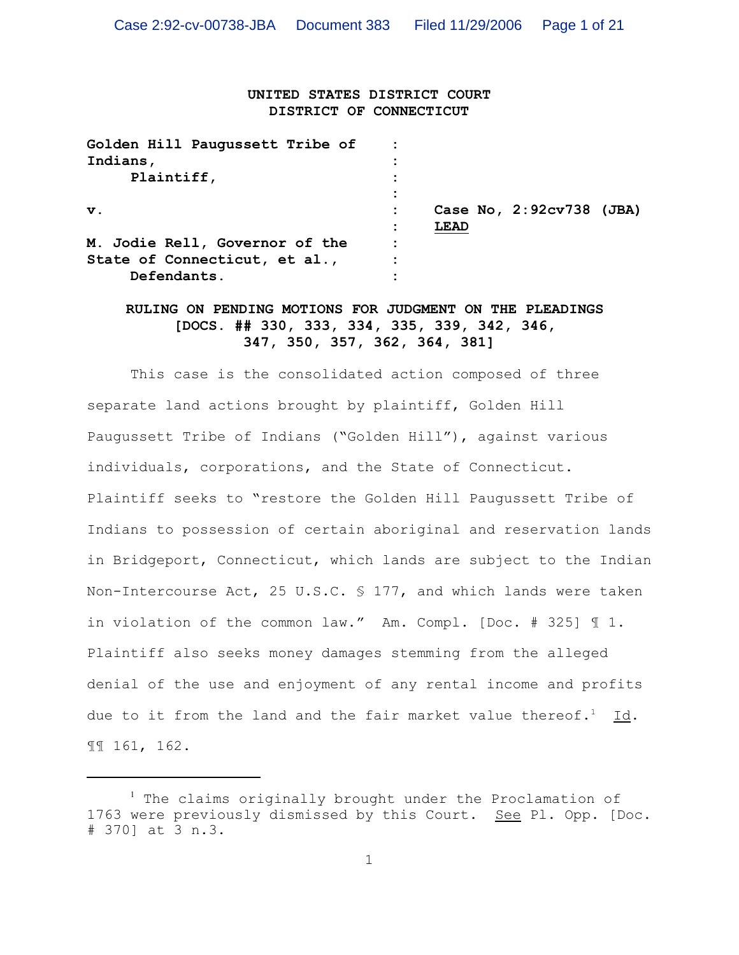# **UNITED STATES DISTRICT COURT DISTRICT OF CONNECTICUT**

| Golden Hill Paugussett Tribe of |             |                          |  |
|---------------------------------|-------------|--------------------------|--|
| Indians,                        |             |                          |  |
| Plaintiff,                      |             |                          |  |
|                                 |             |                          |  |
| $\mathbf v$ .                   |             | Case No, 2:92cv738 (JBA) |  |
|                                 | <b>LEAD</b> |                          |  |
| M. Jodie Rell, Governor of the  |             |                          |  |
| State of Connecticut, et al.,   |             |                          |  |
| Defendants                      |             |                          |  |

# **RULING ON PENDING MOTIONS FOR JUDGMENT ON THE PLEADINGS [DOCS. ## 330, 333, 334, 335, 339, 342, 346, 347, 350, 357, 362, 364, 381]**

This case is the consolidated action composed of three separate land actions brought by plaintiff, Golden Hill Paugussett Tribe of Indians ("Golden Hill"), against various individuals, corporations, and the State of Connecticut. Plaintiff seeks to "restore the Golden Hill Paugussett Tribe of Indians to possession of certain aboriginal and reservation lands in Bridgeport, Connecticut, which lands are subject to the Indian Non-Intercourse Act, 25 U.S.C. § 177, and which lands were taken in violation of the common law." Am. Compl. [Doc. # 325] ¶ 1. Plaintiff also seeks money damages stemming from the alleged denial of the use and enjoyment of any rental income and profits due to it from the land and the fair market value thereof.<sup>1</sup> Id. ¶¶ 161, 162.

 $1$  The claims originally brought under the Proclamation of 1763 were previously dismissed by this Court. See Pl. Opp. [Doc. # 370] at 3 n.3.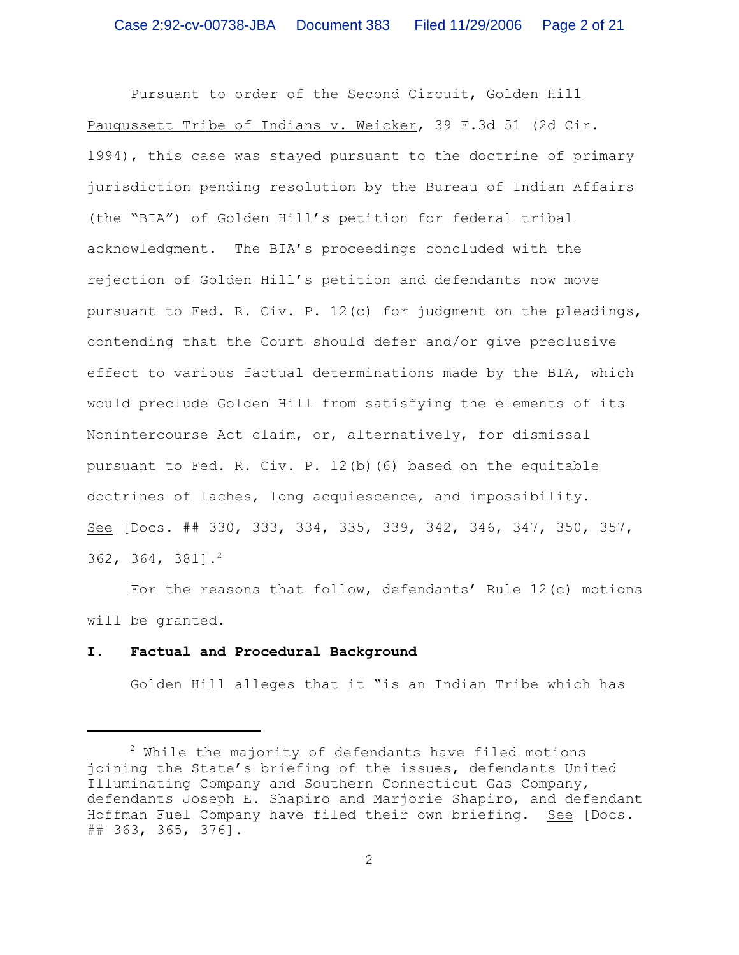Pursuant to order of the Second Circuit, Golden Hill Paugussett Tribe of Indians v. Weicker, 39 F.3d 51 (2d Cir. 1994), this case was stayed pursuant to the doctrine of primary jurisdiction pending resolution by the Bureau of Indian Affairs (the "BIA") of Golden Hill's petition for federal tribal acknowledgment. The BIA's proceedings concluded with the rejection of Golden Hill's petition and defendants now move pursuant to Fed. R. Civ. P. 12(c) for judgment on the pleadings, contending that the Court should defer and/or give preclusive effect to various factual determinations made by the BIA, which would preclude Golden Hill from satisfying the elements of its Nonintercourse Act claim, or, alternatively, for dismissal pursuant to Fed. R. Civ. P. 12(b)(6) based on the equitable doctrines of laches, long acquiescence, and impossibility. See [Docs. ## 330, 333, 334, 335, 339, 342, 346, 347, 350, 357, 362, 364, 381].<sup>2</sup>

For the reasons that follow, defendants' Rule 12(c) motions will be granted.

#### **I. Factual and Procedural Background**

Golden Hill alleges that it "is an Indian Tribe which has

 $2$  While the majority of defendants have filed motions joining the State's briefing of the issues, defendants United Illuminating Company and Southern Connecticut Gas Company, defendants Joseph E. Shapiro and Marjorie Shapiro, and defendant Hoffman Fuel Company have filed their own briefing. See [Docs. ## 363, 365, 376].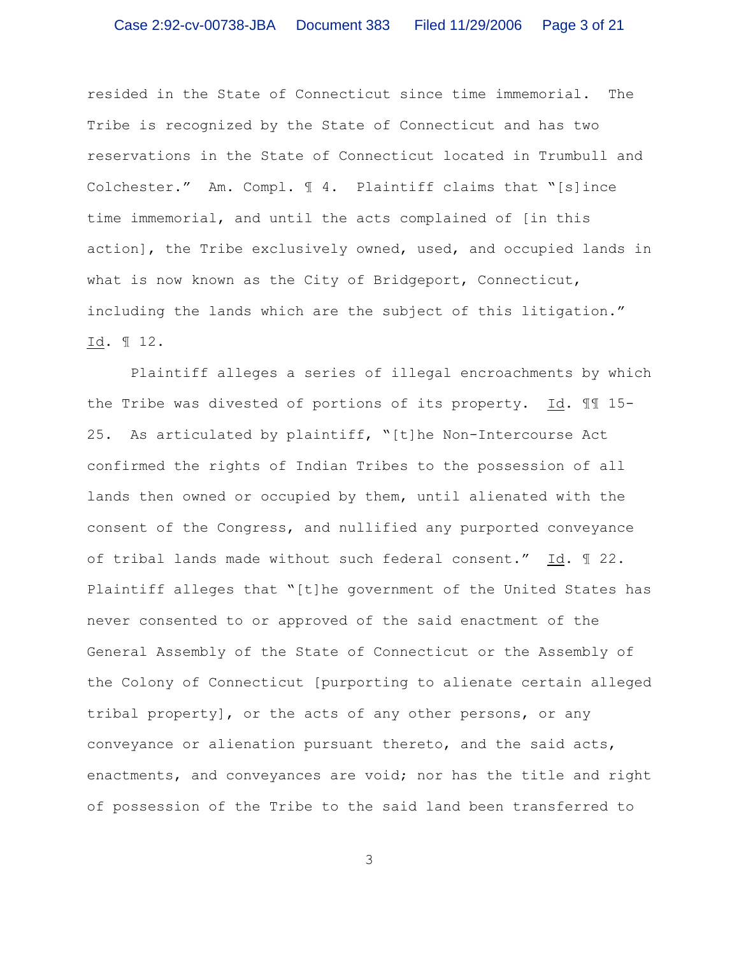resided in the State of Connecticut since time immemorial. The Tribe is recognized by the State of Connecticut and has two reservations in the State of Connecticut located in Trumbull and Colchester." Am. Compl. ¶ 4. Plaintiff claims that "[s]ince time immemorial, and until the acts complained of [in this action], the Tribe exclusively owned, used, and occupied lands in what is now known as the City of Bridgeport, Connecticut, including the lands which are the subject of this litigation." Id. ¶ 12.

Plaintiff alleges a series of illegal encroachments by which the Tribe was divested of portions of its property. Id. ¶¶ 15- 25. As articulated by plaintiff, "[t]he Non-Intercourse Act confirmed the rights of Indian Tribes to the possession of all lands then owned or occupied by them, until alienated with the consent of the Congress, and nullified any purported conveyance of tribal lands made without such federal consent." Id. ¶ 22. Plaintiff alleges that "[t]he government of the United States has never consented to or approved of the said enactment of the General Assembly of the State of Connecticut or the Assembly of the Colony of Connecticut [purporting to alienate certain alleged tribal property], or the acts of any other persons, or any conveyance or alienation pursuant thereto, and the said acts, enactments, and conveyances are void; nor has the title and right of possession of the Tribe to the said land been transferred to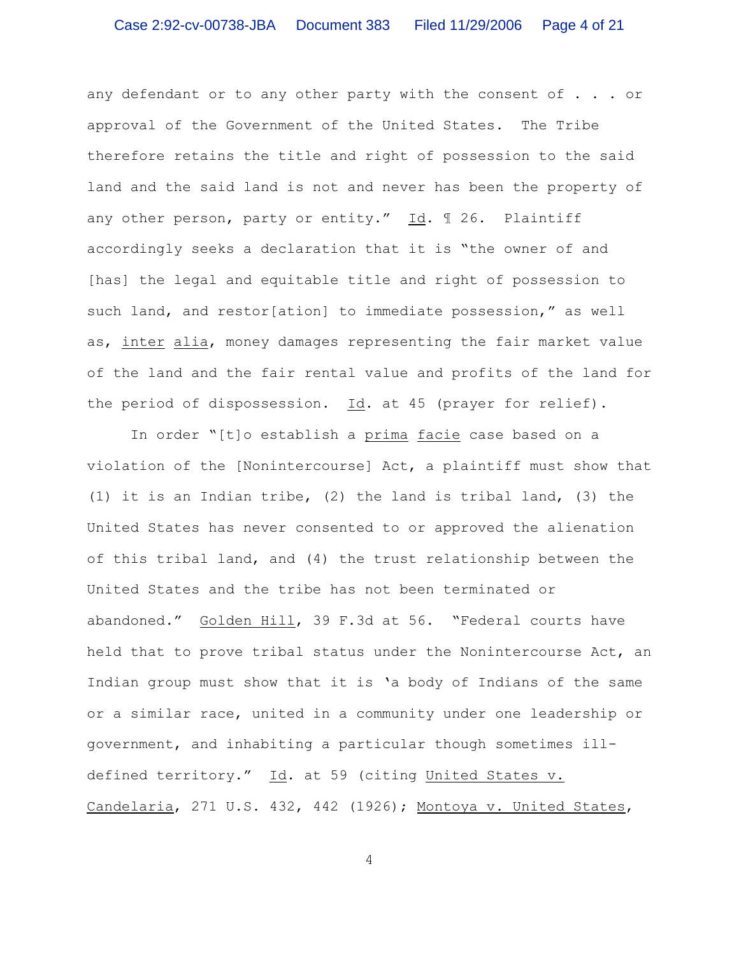any defendant or to any other party with the consent of  $\ldots$  or approval of the Government of the United States. The Tribe therefore retains the title and right of possession to the said land and the said land is not and never has been the property of any other person, party or entity." Id. ¶ 26. Plaintiff accordingly seeks a declaration that it is "the owner of and [has] the legal and equitable title and right of possession to such land, and restor[ation] to immediate possession," as well as, inter alia, money damages representing the fair market value of the land and the fair rental value and profits of the land for the period of dispossession. Id. at 45 (prayer for relief).

In order "[t]o establish a prima facie case based on a violation of the [Nonintercourse] Act, a plaintiff must show that (1) it is an Indian tribe, (2) the land is tribal land, (3) the United States has never consented to or approved the alienation of this tribal land, and (4) the trust relationship between the United States and the tribe has not been terminated or abandoned." Golden Hill, 39 F.3d at 56. "Federal courts have held that to prove tribal status under the Nonintercourse Act, an Indian group must show that it is 'a body of Indians of the same or a similar race, united in a community under one leadership or government, and inhabiting a particular though sometimes illdefined territory." Id. at 59 (citing United States v. Candelaria, 271 U.S. 432, 442 (1926); Montoya v. United States,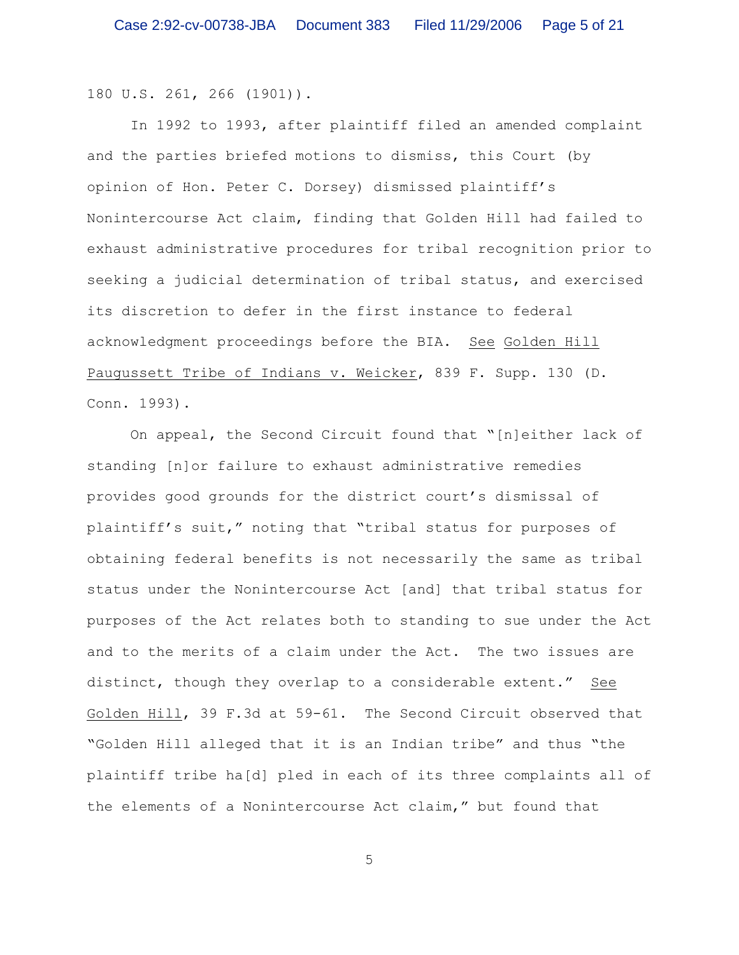180 U.S. 261, 266 (1901)).

In 1992 to 1993, after plaintiff filed an amended complaint and the parties briefed motions to dismiss, this Court (by opinion of Hon. Peter C. Dorsey) dismissed plaintiff's Nonintercourse Act claim, finding that Golden Hill had failed to exhaust administrative procedures for tribal recognition prior to seeking a judicial determination of tribal status, and exercised its discretion to defer in the first instance to federal acknowledgment proceedings before the BIA. See Golden Hill Paugussett Tribe of Indians v. Weicker, 839 F. Supp. 130 (D. Conn. 1993).

On appeal, the Second Circuit found that "[n]either lack of standing [n]or failure to exhaust administrative remedies provides good grounds for the district court's dismissal of plaintiff's suit," noting that "tribal status for purposes of obtaining federal benefits is not necessarily the same as tribal status under the Nonintercourse Act [and] that tribal status for purposes of the Act relates both to standing to sue under the Act and to the merits of a claim under the Act. The two issues are distinct, though they overlap to a considerable extent." See Golden Hill, 39 F.3d at 59-61. The Second Circuit observed that "Golden Hill alleged that it is an Indian tribe" and thus "the plaintiff tribe ha[d] pled in each of its three complaints all of the elements of a Nonintercourse Act claim," but found that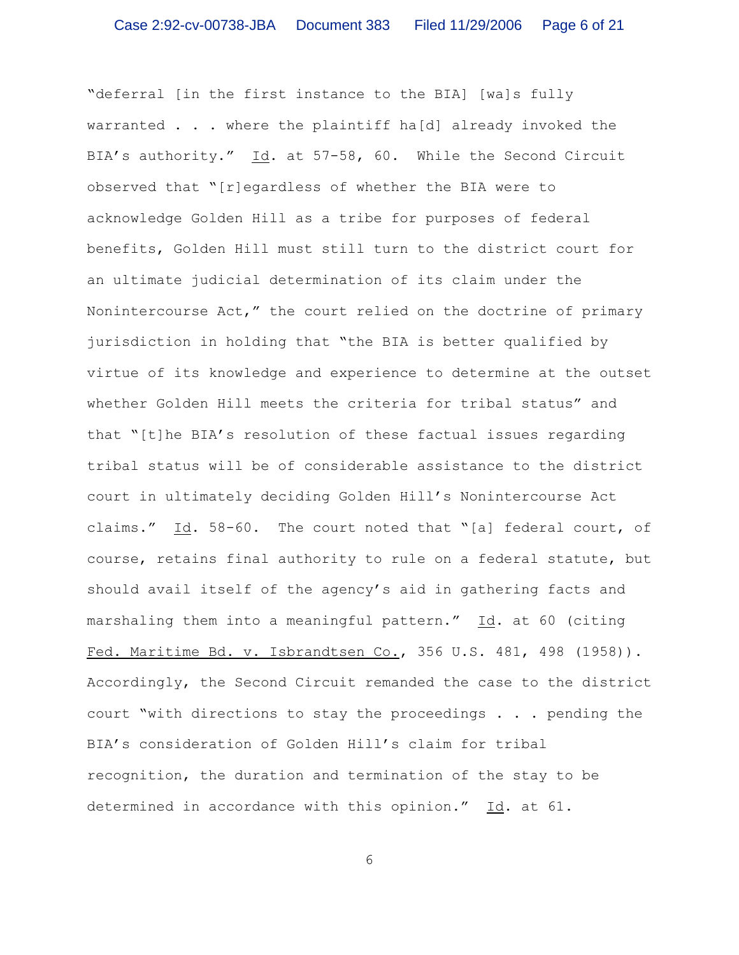"deferral [in the first instance to the BIA] [wa]s fully warranted  $\ldots$  where the plaintiff ha[d] already invoked the BIA's authority." Id. at 57-58, 60. While the Second Circuit observed that "[r]egardless of whether the BIA were to acknowledge Golden Hill as a tribe for purposes of federal benefits, Golden Hill must still turn to the district court for an ultimate judicial determination of its claim under the Nonintercourse Act," the court relied on the doctrine of primary jurisdiction in holding that "the BIA is better qualified by virtue of its knowledge and experience to determine at the outset whether Golden Hill meets the criteria for tribal status" and that "[t]he BIA's resolution of these factual issues regarding tribal status will be of considerable assistance to the district court in ultimately deciding Golden Hill's Nonintercourse Act claims." Id. 58-60. The court noted that "[a] federal court, of course, retains final authority to rule on a federal statute, but should avail itself of the agency's aid in gathering facts and marshaling them into a meaningful pattern." Id. at 60 (citing Fed. Maritime Bd. v. Isbrandtsen Co., 356 U.S. 481, 498 (1958)). Accordingly, the Second Circuit remanded the case to the district court "with directions to stay the proceedings . . . pending the BIA's consideration of Golden Hill's claim for tribal recognition, the duration and termination of the stay to be determined in accordance with this opinion." Id. at 61.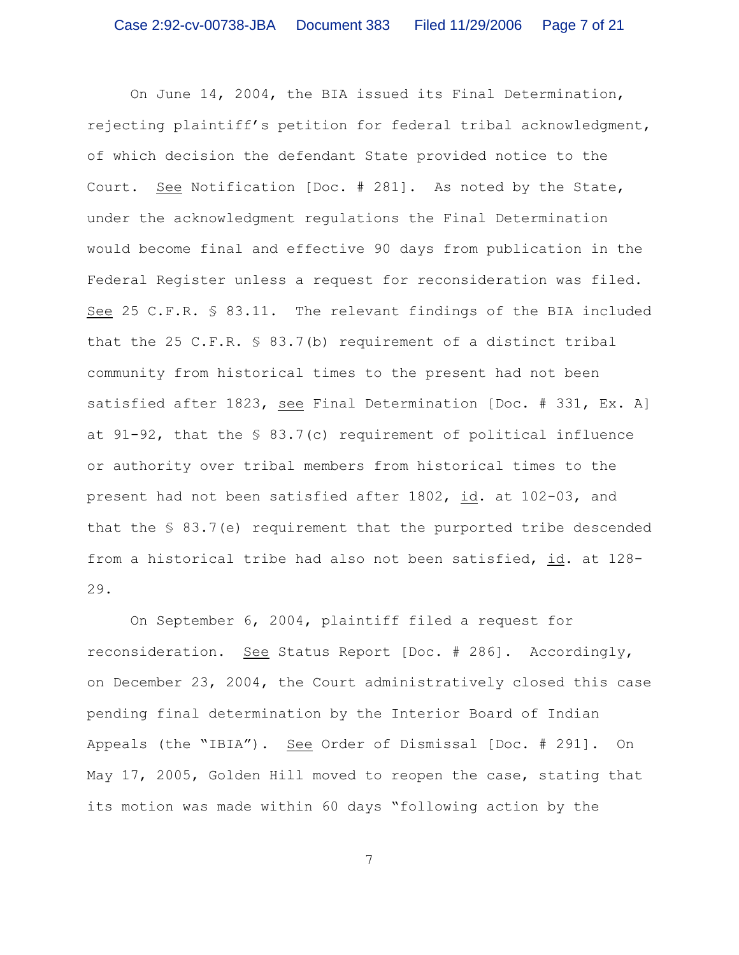On June 14, 2004, the BIA issued its Final Determination, rejecting plaintiff's petition for federal tribal acknowledgment, of which decision the defendant State provided notice to the Court. See Notification [Doc. # 281]. As noted by the State, under the acknowledgment regulations the Final Determination would become final and effective 90 days from publication in the Federal Register unless a request for reconsideration was filed. See 25 C.F.R. § 83.11. The relevant findings of the BIA included that the 25 C.F.R. § 83.7(b) requirement of a distinct tribal community from historical times to the present had not been satisfied after 1823, see Final Determination [Doc. # 331, Ex. A] at  $91-92$ , that the  $\frac{1}{5}$  83.7(c) requirement of political influence or authority over tribal members from historical times to the present had not been satisfied after 1802, id. at 102-03, and that the § 83.7(e) requirement that the purported tribe descended from a historical tribe had also not been satisfied, id. at 128- 29.

On September 6, 2004, plaintiff filed a request for reconsideration. See Status Report [Doc. # 286]. Accordingly, on December 23, 2004, the Court administratively closed this case pending final determination by the Interior Board of Indian Appeals (the "IBIA"). See Order of Dismissal [Doc. # 291]. On May 17, 2005, Golden Hill moved to reopen the case, stating that its motion was made within 60 days "following action by the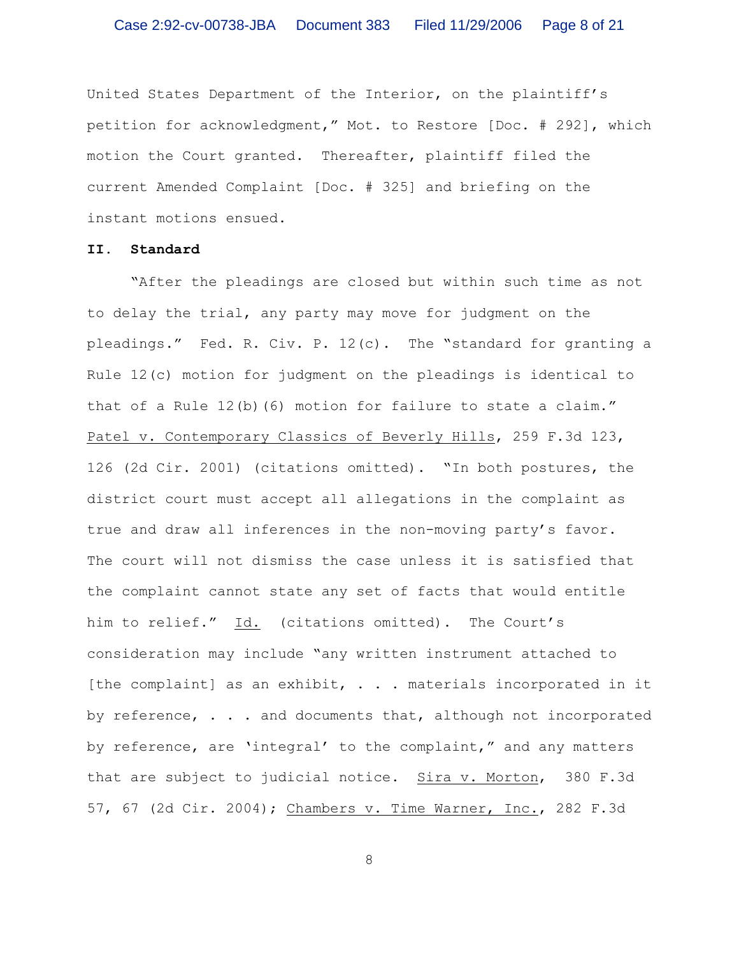United States Department of the Interior, on the plaintiff's petition for acknowledgment," Mot. to Restore [Doc. # 292], which motion the Court granted. Thereafter, plaintiff filed the current Amended Complaint [Doc. # 325] and briefing on the instant motions ensued.

## **II. Standard**

"After the pleadings are closed but within such time as not to delay the trial, any party may move for judgment on the pleadings." Fed. R. Civ. P. 12(c). The "standard for granting a Rule 12(c) motion for judgment on the pleadings is identical to that of a Rule 12(b)(6) motion for failure to state a claim." Patel v. Contemporary Classics of Beverly Hills, 259 F.3d 123, 126 (2d Cir. 2001) (citations omitted). "In both postures, the district court must accept all allegations in the complaint as true and draw all inferences in the non-moving party's favor. The court will not dismiss the case unless it is satisfied that the complaint cannot state any set of facts that would entitle him to relief." Id. (citations omitted). The Court's consideration may include "any written instrument attached to [the complaint] as an exhibit, . . . materials incorporated in it by reference, . . . and documents that, although not incorporated by reference, are 'integral' to the complaint," and any matters that are subject to judicial notice. Sira v. Morton, 380 F.3d 57, 67 (2d Cir. 2004); Chambers v. Time Warner, Inc., 282 F.3d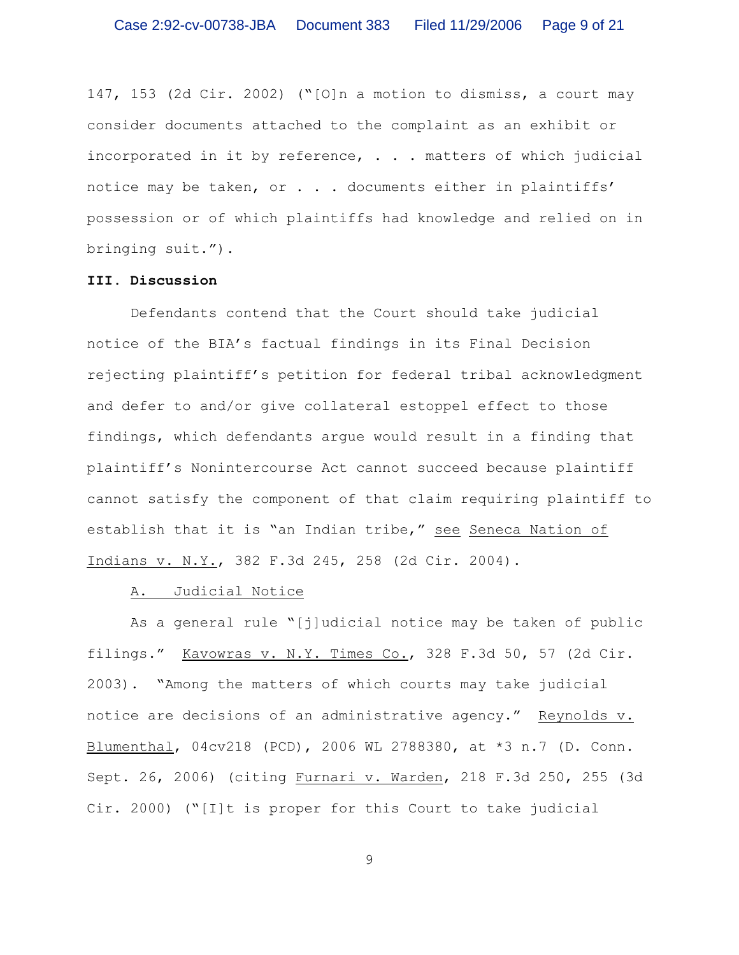147, 153 (2d Cir. 2002) ("[O]n a motion to dismiss, a court may consider documents attached to the complaint as an exhibit or incorporated in it by reference, . . . matters of which judicial notice may be taken, or . . . documents either in plaintiffs' possession or of which plaintiffs had knowledge and relied on in bringing suit.").

### **III. Discussion**

Defendants contend that the Court should take judicial notice of the BIA's factual findings in its Final Decision rejecting plaintiff's petition for federal tribal acknowledgment and defer to and/or give collateral estoppel effect to those findings, which defendants argue would result in a finding that plaintiff's Nonintercourse Act cannot succeed because plaintiff cannot satisfy the component of that claim requiring plaintiff to establish that it is "an Indian tribe," see Seneca Nation of Indians v. N.Y., 382 F.3d 245, 258 (2d Cir. 2004).

### A. Judicial Notice

As a general rule "[j]udicial notice may be taken of public filings." Kavowras v. N.Y. Times Co., 328 F.3d 50, 57 (2d Cir. 2003). "Among the matters of which courts may take judicial notice are decisions of an administrative agency." Reynolds v. Blumenthal, 04cv218 (PCD), 2006 WL 2788380, at \*3 n.7 (D. Conn. Sept. 26, 2006) (citing Furnari v. Warden, 218 F.3d 250, 255 (3d Cir. 2000) ("[I]t is proper for this Court to take judicial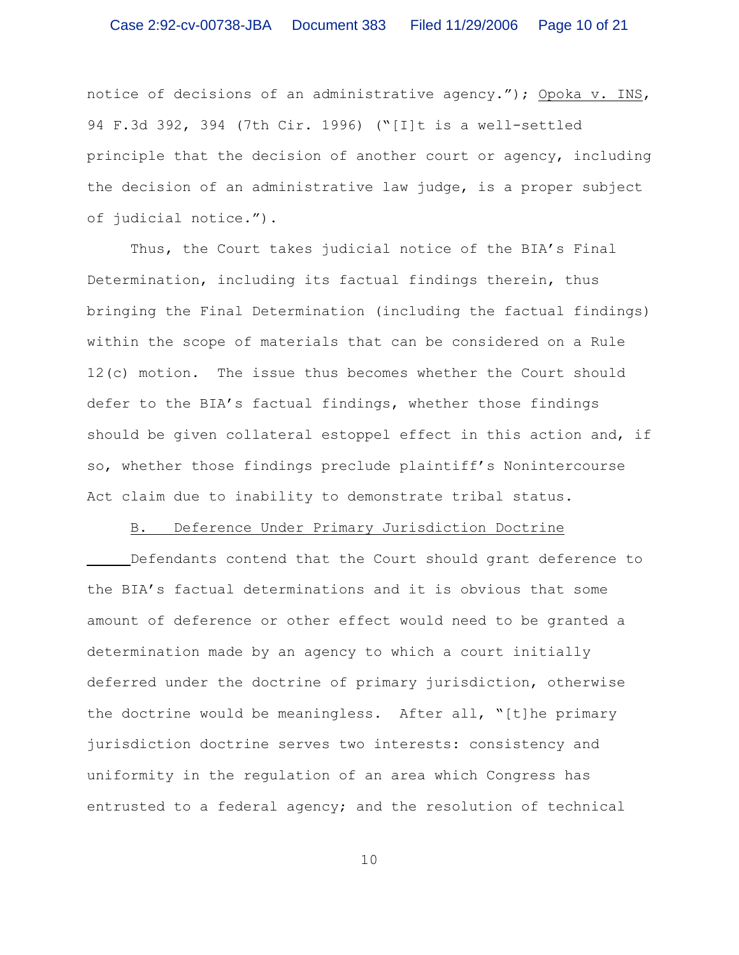### Case 2:92-cv-00738-JBA Document 383 Filed 11/29/2006 Page 10 of 21

notice of decisions of an administrative agency."); Opoka v. INS, 94 F.3d 392, 394 (7th Cir. 1996) ("[I]t is a well-settled principle that the decision of another court or agency, including the decision of an administrative law judge, is a proper subject of judicial notice.").

Thus, the Court takes judicial notice of the BIA's Final Determination, including its factual findings therein, thus bringing the Final Determination (including the factual findings) within the scope of materials that can be considered on a Rule 12(c) motion. The issue thus becomes whether the Court should defer to the BIA's factual findings, whether those findings should be given collateral estoppel effect in this action and, if so, whether those findings preclude plaintiff's Nonintercourse Act claim due to inability to demonstrate tribal status.

# B. Deference Under Primary Jurisdiction Doctrine

Defendants contend that the Court should grant deference to the BIA's factual determinations and it is obvious that some amount of deference or other effect would need to be granted a determination made by an agency to which a court initially deferred under the doctrine of primary jurisdiction, otherwise the doctrine would be meaningless. After all, "[t]he primary jurisdiction doctrine serves two interests: consistency and uniformity in the regulation of an area which Congress has entrusted to a federal agency; and the resolution of technical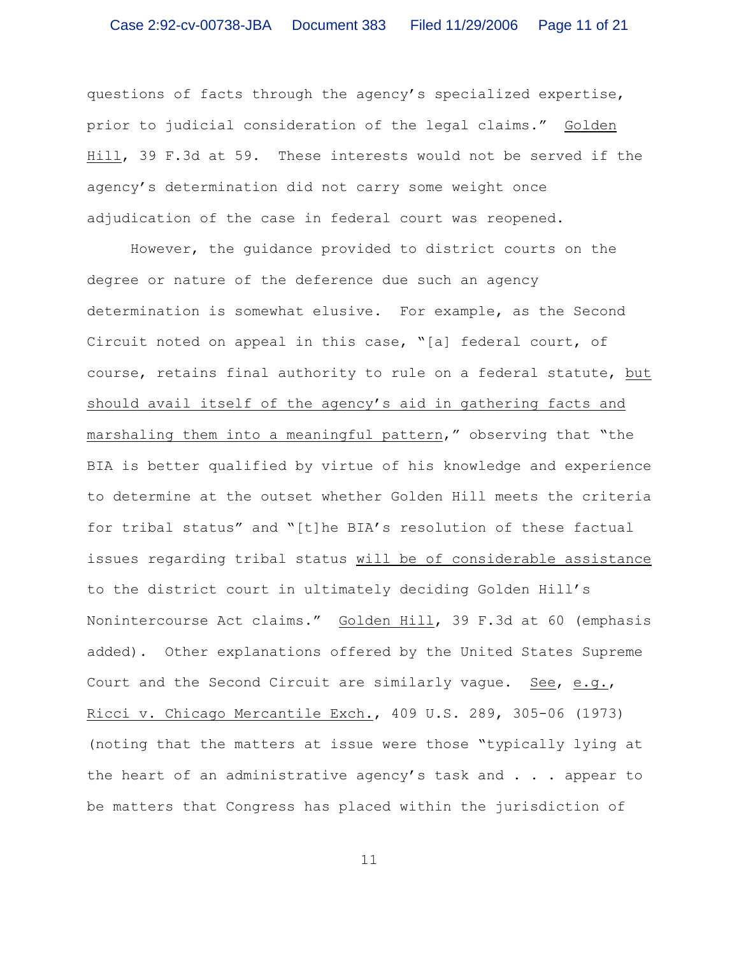questions of facts through the agency's specialized expertise, prior to judicial consideration of the legal claims." Golden Hill, 39 F.3d at 59. These interests would not be served if the agency's determination did not carry some weight once adjudication of the case in federal court was reopened.

However, the guidance provided to district courts on the degree or nature of the deference due such an agency determination is somewhat elusive. For example, as the Second Circuit noted on appeal in this case, "[a] federal court, of course, retains final authority to rule on a federal statute, but should avail itself of the agency's aid in gathering facts and marshaling them into a meaningful pattern," observing that "the BIA is better qualified by virtue of his knowledge and experience to determine at the outset whether Golden Hill meets the criteria for tribal status" and "[t]he BIA's resolution of these factual issues regarding tribal status will be of considerable assistance to the district court in ultimately deciding Golden Hill's Nonintercourse Act claims." Golden Hill, 39 F.3d at 60 (emphasis added). Other explanations offered by the United States Supreme Court and the Second Circuit are similarly vague. See, e.g., Ricci v. Chicago Mercantile Exch., 409 U.S. 289, 305-06 (1973) (noting that the matters at issue were those "typically lying at the heart of an administrative agency's task and . . . appear to be matters that Congress has placed within the jurisdiction of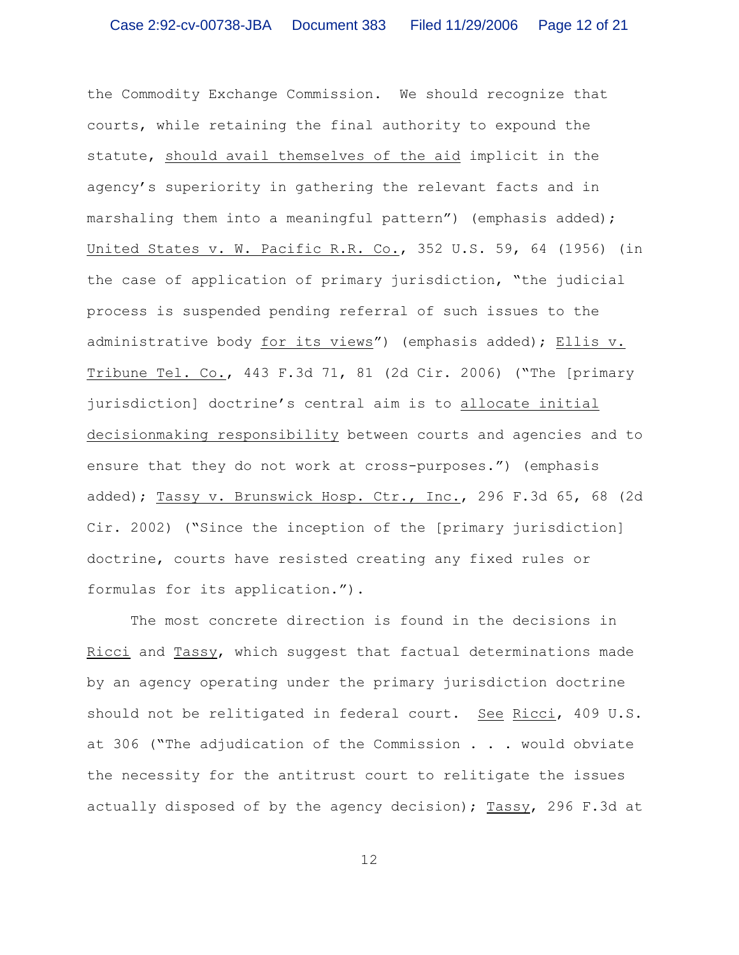the Commodity Exchange Commission. We should recognize that courts, while retaining the final authority to expound the statute, should avail themselves of the aid implicit in the agency's superiority in gathering the relevant facts and in marshaling them into a meaningful pattern") (emphasis added); United States v. W. Pacific R.R. Co., 352 U.S. 59, 64 (1956) (in the case of application of primary jurisdiction, "the judicial process is suspended pending referral of such issues to the administrative body for its views") (emphasis added); Ellis v. Tribune Tel. Co., 443 F.3d 71, 81 (2d Cir. 2006) ("The [primary jurisdiction] doctrine's central aim is to allocate initial decisionmaking responsibility between courts and agencies and to ensure that they do not work at cross-purposes.") (emphasis added); Tassy v. Brunswick Hosp. Ctr., Inc., 296 F.3d 65, 68 (2d Cir. 2002) ("Since the inception of the [primary jurisdiction] doctrine, courts have resisted creating any fixed rules or formulas for its application.").

The most concrete direction is found in the decisions in Ricci and Tassy, which suggest that factual determinations made by an agency operating under the primary jurisdiction doctrine should not be relitigated in federal court. See Ricci, 409 U.S. at 306 ("The adjudication of the Commission . . . would obviate the necessity for the antitrust court to relitigate the issues actually disposed of by the agency decision); Tassy, 296 F.3d at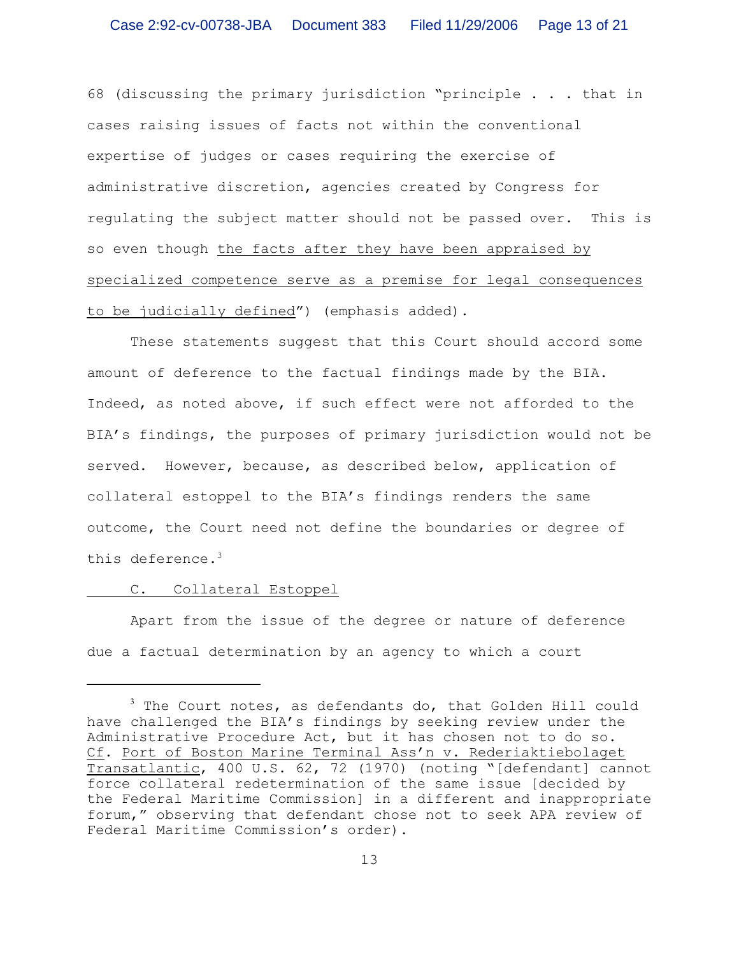68 (discussing the primary jurisdiction "principle . . . that in cases raising issues of facts not within the conventional expertise of judges or cases requiring the exercise of administrative discretion, agencies created by Congress for regulating the subject matter should not be passed over. This is so even though the facts after they have been appraised by specialized competence serve as a premise for legal consequences to be judicially defined") (emphasis added).

These statements suggest that this Court should accord some amount of deference to the factual findings made by the BIA. Indeed, as noted above, if such effect were not afforded to the BIA's findings, the purposes of primary jurisdiction would not be served. However, because, as described below, application of collateral estoppel to the BIA's findings renders the same outcome, the Court need not define the boundaries or degree of this deference.<sup>3</sup>

### C. Collateral Estoppel

Apart from the issue of the degree or nature of deference due a factual determination by an agency to which a court

 $3$  The Court notes, as defendants do, that Golden Hill could have challenged the BIA's findings by seeking review under the Administrative Procedure Act, but it has chosen not to do so. Cf. Port of Boston Marine Terminal Ass'n v. Rederiaktiebolaget Transatlantic, 400 U.S. 62, 72 (1970) (noting "[defendant] cannot force collateral redetermination of the same issue [decided by the Federal Maritime Commission] in a different and inappropriate forum," observing that defendant chose not to seek APA review of Federal Maritime Commission's order).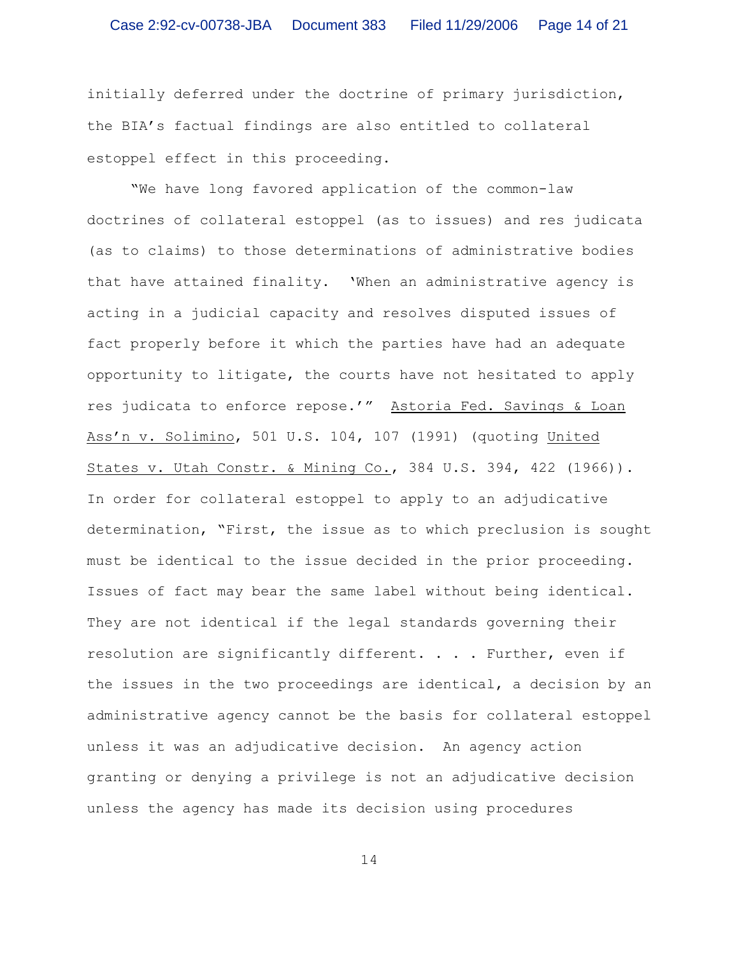initially deferred under the doctrine of primary jurisdiction, the BIA's factual findings are also entitled to collateral estoppel effect in this proceeding.

"We have long favored application of the common-law doctrines of collateral estoppel (as to issues) and res judicata (as to claims) to those determinations of administrative bodies that have attained finality. 'When an administrative agency is acting in a judicial capacity and resolves disputed issues of fact properly before it which the parties have had an adequate opportunity to litigate, the courts have not hesitated to apply res judicata to enforce repose.'" Astoria Fed. Savings & Loan Ass'n v. Solimino, 501 U.S. 104, 107 (1991) (quoting United States v. Utah Constr. & Mining Co., 384 U.S. 394, 422 (1966)). In order for collateral estoppel to apply to an adjudicative determination, "First, the issue as to which preclusion is sought must be identical to the issue decided in the prior proceeding. Issues of fact may bear the same label without being identical. They are not identical if the legal standards governing their resolution are significantly different. . . . Further, even if the issues in the two proceedings are identical, a decision by an administrative agency cannot be the basis for collateral estoppel unless it was an adjudicative decision. An agency action granting or denying a privilege is not an adjudicative decision unless the agency has made its decision using procedures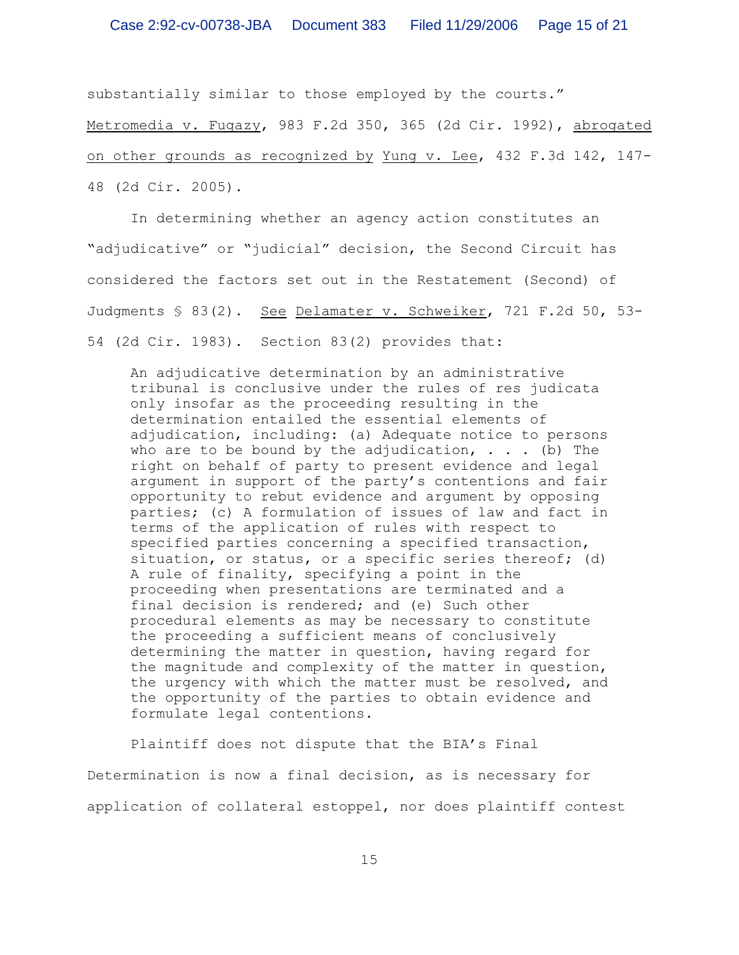substantially similar to those employed by the courts."

Metromedia v. Fugazy, 983 F.2d 350, 365 (2d Cir. 1992), abrogated on other grounds as recognized by Yung v. Lee, 432 F.3d 142, 147- 48 (2d Cir. 2005).

In determining whether an agency action constitutes an "adjudicative" or "judicial" decision, the Second Circuit has considered the factors set out in the Restatement (Second) of Judgments § 83(2). See Delamater v. Schweiker, 721 F.2d 50, 53- 54 (2d Cir. 1983). Section 83(2) provides that:

An adjudicative determination by an administrative tribunal is conclusive under the rules of res judicata only insofar as the proceeding resulting in the determination entailed the essential elements of adjudication, including: (a) Adequate notice to persons who are to be bound by the adjudication,  $\ldots$  (b) The right on behalf of party to present evidence and legal argument in support of the party's contentions and fair opportunity to rebut evidence and argument by opposing parties; (c) A formulation of issues of law and fact in terms of the application of rules with respect to specified parties concerning a specified transaction, situation, or status, or a specific series thereof; (d) A rule of finality, specifying a point in the proceeding when presentations are terminated and a final decision is rendered; and (e) Such other procedural elements as may be necessary to constitute the proceeding a sufficient means of conclusively determining the matter in question, having regard for the magnitude and complexity of the matter in question, the urgency with which the matter must be resolved, and the opportunity of the parties to obtain evidence and formulate legal contentions.

Plaintiff does not dispute that the BIA's Final Determination is now a final decision, as is necessary for application of collateral estoppel, nor does plaintiff contest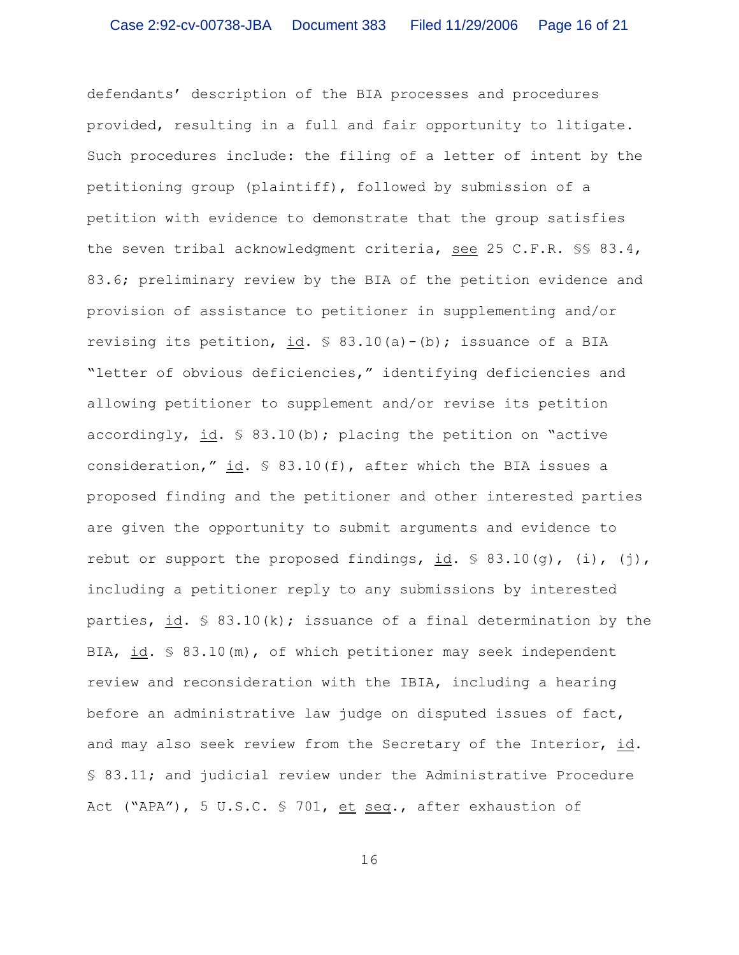defendants' description of the BIA processes and procedures provided, resulting in a full and fair opportunity to litigate. Such procedures include: the filing of a letter of intent by the petitioning group (plaintiff), followed by submission of a petition with evidence to demonstrate that the group satisfies the seven tribal acknowledgment criteria, see 25 C.F.R. §§ 83.4, 83.6; preliminary review by the BIA of the petition evidence and provision of assistance to petitioner in supplementing and/or revising its petition, id.  $\frac{1}{2}$  83.10(a)-(b); issuance of a BIA "letter of obvious deficiencies," identifying deficiencies and allowing petitioner to supplement and/or revise its petition accordingly, id.  $\frac{1}{2}$  83.10(b); placing the petition on "active consideration," id.  $\frac{1}{2}$  83.10(f), after which the BIA issues a proposed finding and the petitioner and other interested parties are given the opportunity to submit arguments and evidence to rebut or support the proposed findings, id.  $\frac{1}{5}$  83.10(q), (i), (j), including a petitioner reply to any submissions by interested parties, id.  $\frac{1}{5}$  83.10(k); issuance of a final determination by the BIA, id. § 83.10(m), of which petitioner may seek independent review and reconsideration with the IBIA, including a hearing before an administrative law judge on disputed issues of fact, and may also seek review from the Secretary of the Interior, id. § 83.11; and judicial review under the Administrative Procedure Act ("APA"), 5 U.S.C. § 701, et seq., after exhaustion of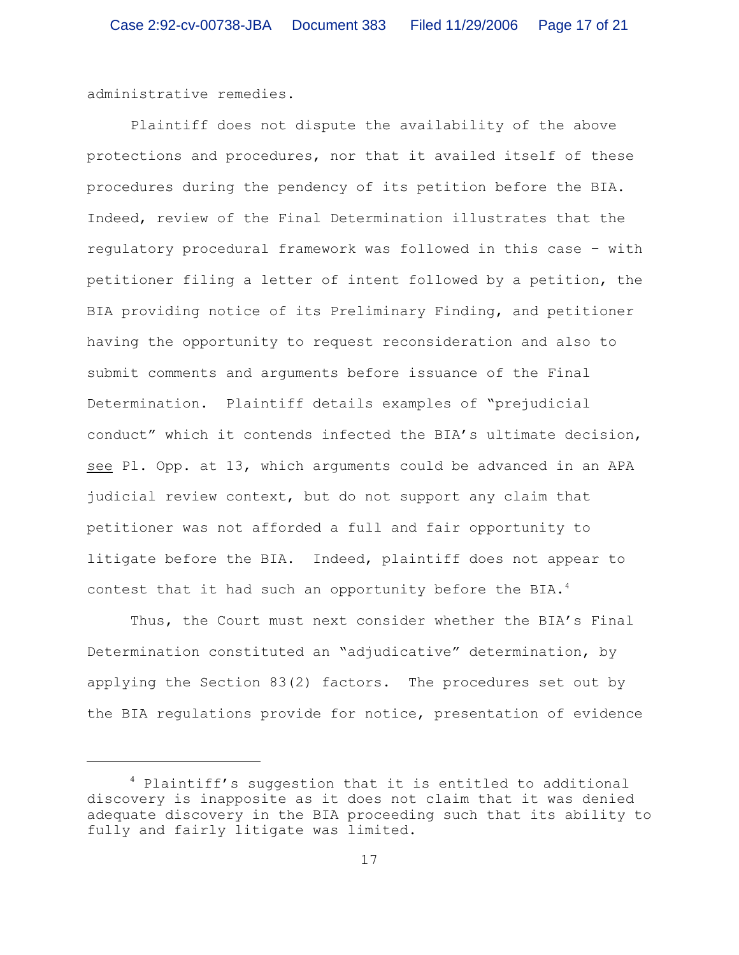administrative remedies.

Plaintiff does not dispute the availability of the above protections and procedures, nor that it availed itself of these procedures during the pendency of its petition before the BIA. Indeed, review of the Final Determination illustrates that the regulatory procedural framework was followed in this case – with petitioner filing a letter of intent followed by a petition, the BIA providing notice of its Preliminary Finding, and petitioner having the opportunity to request reconsideration and also to submit comments and arguments before issuance of the Final Determination. Plaintiff details examples of "prejudicial conduct" which it contends infected the BIA's ultimate decision, see Pl. Opp. at 13, which arguments could be advanced in an APA judicial review context, but do not support any claim that petitioner was not afforded a full and fair opportunity to litigate before the BIA. Indeed, plaintiff does not appear to contest that it had such an opportunity before the BIA.<sup>4</sup>

Thus, the Court must next consider whether the BIA's Final Determination constituted an "adjudicative" determination, by applying the Section 83(2) factors. The procedures set out by the BIA regulations provide for notice, presentation of evidence

 $4$  Plaintiff's suggestion that it is entitled to additional discovery is inapposite as it does not claim that it was denied adequate discovery in the BIA proceeding such that its ability to fully and fairly litigate was limited.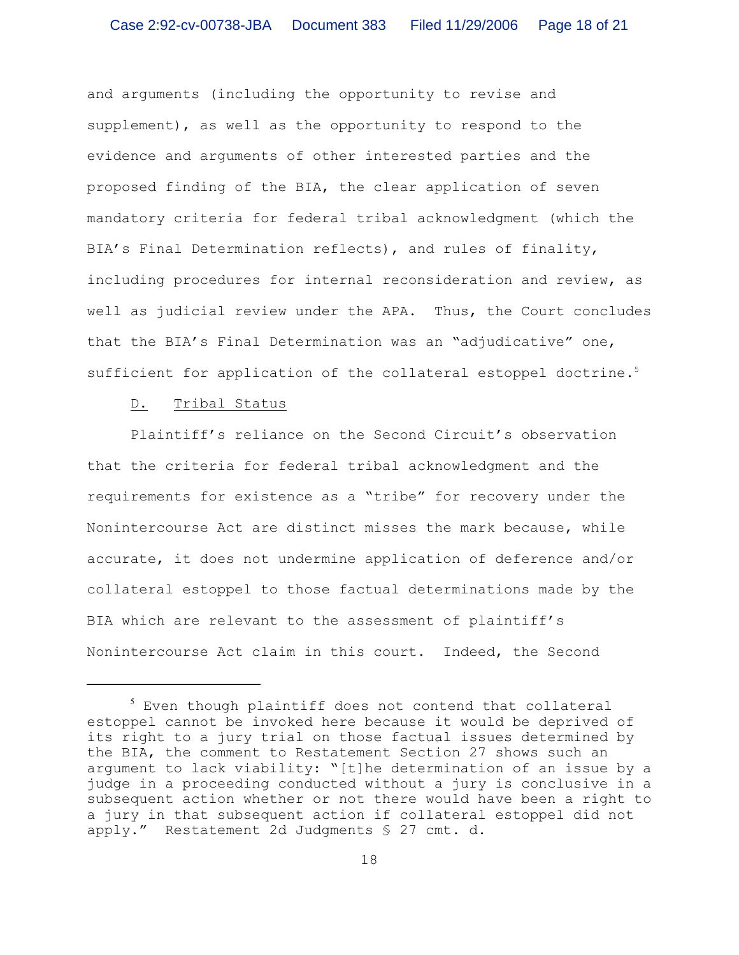and arguments (including the opportunity to revise and supplement), as well as the opportunity to respond to the evidence and arguments of other interested parties and the proposed finding of the BIA, the clear application of seven mandatory criteria for federal tribal acknowledgment (which the BIA's Final Determination reflects), and rules of finality, including procedures for internal reconsideration and review, as well as judicial review under the APA. Thus, the Court concludes that the BIA's Final Determination was an "adjudicative" one, sufficient for application of the collateral estoppel doctrine.<sup>5</sup>

### D. Tribal Status

Plaintiff's reliance on the Second Circuit's observation that the criteria for federal tribal acknowledgment and the requirements for existence as a "tribe" for recovery under the Nonintercourse Act are distinct misses the mark because, while accurate, it does not undermine application of deference and/or collateral estoppel to those factual determinations made by the BIA which are relevant to the assessment of plaintiff's Nonintercourse Act claim in this court. Indeed, the Second

 $5$  Even though plaintiff does not contend that collateral estoppel cannot be invoked here because it would be deprived of its right to a jury trial on those factual issues determined by the BIA, the comment to Restatement Section 27 shows such an argument to lack viability: "[t]he determination of an issue by a judge in a proceeding conducted without a jury is conclusive in a subsequent action whether or not there would have been a right to a jury in that subsequent action if collateral estoppel did not apply." Restatement 2d Judgments § 27 cmt. d.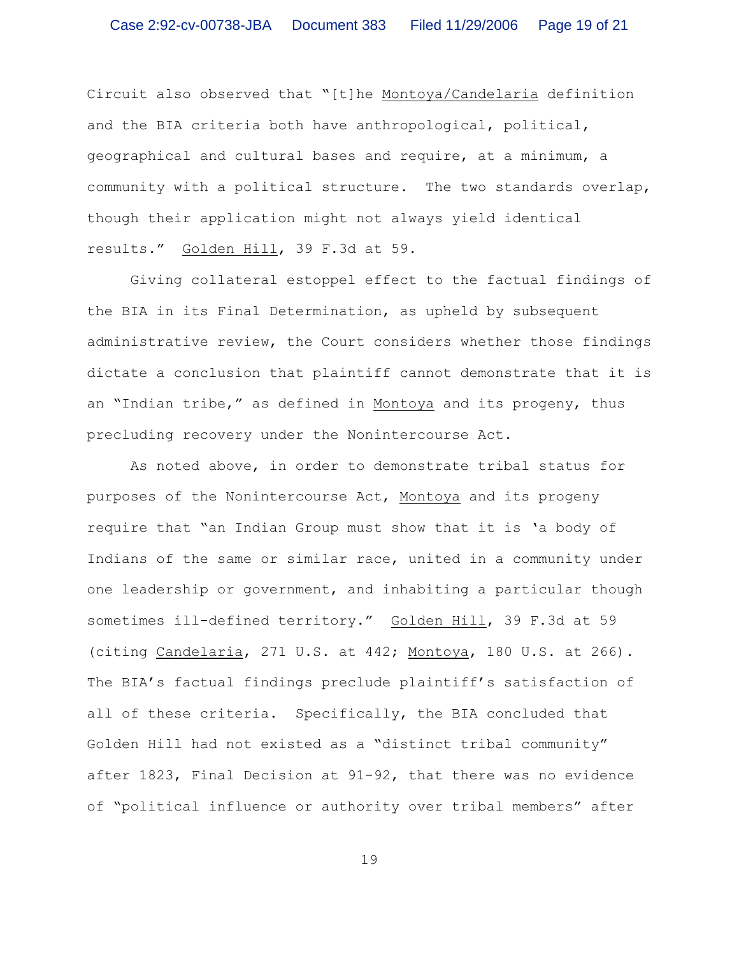Circuit also observed that "[t]he Montoya/Candelaria definition and the BIA criteria both have anthropological, political, geographical and cultural bases and require, at a minimum, a community with a political structure. The two standards overlap, though their application might not always yield identical results." Golden Hill, 39 F.3d at 59.

Giving collateral estoppel effect to the factual findings of the BIA in its Final Determination, as upheld by subsequent administrative review, the Court considers whether those findings dictate a conclusion that plaintiff cannot demonstrate that it is an "Indian tribe," as defined in Montoya and its progeny, thus precluding recovery under the Nonintercourse Act.

As noted above, in order to demonstrate tribal status for purposes of the Nonintercourse Act, Montoya and its progeny require that "an Indian Group must show that it is 'a body of Indians of the same or similar race, united in a community under one leadership or government, and inhabiting a particular though sometimes ill-defined territory." Golden Hill, 39 F.3d at 59 (citing Candelaria, 271 U.S. at 442; Montoya, 180 U.S. at 266). The BIA's factual findings preclude plaintiff's satisfaction of all of these criteria. Specifically, the BIA concluded that Golden Hill had not existed as a "distinct tribal community" after 1823, Final Decision at 91-92, that there was no evidence of "political influence or authority over tribal members" after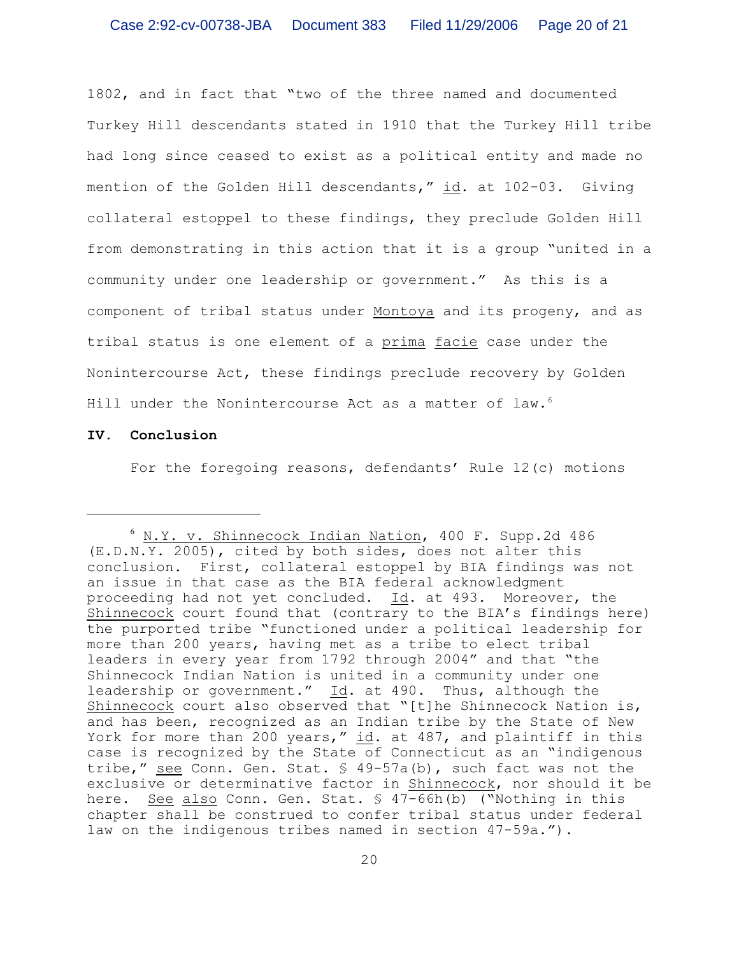1802, and in fact that "two of the three named and documented Turkey Hill descendants stated in 1910 that the Turkey Hill tribe had long since ceased to exist as a political entity and made no mention of the Golden Hill descendants," id. at 102-03. Giving collateral estoppel to these findings, they preclude Golden Hill from demonstrating in this action that it is a group "united in a community under one leadership or government." As this is a component of tribal status under Montoya and its progeny, and as tribal status is one element of a prima facie case under the Nonintercourse Act, these findings preclude recovery by Golden Hill under the Nonintercourse Act as a matter of law.<sup>6</sup>

### **IV. Conclusion**

For the foregoing reasons, defendants' Rule 12(c) motions

 $6$  N.Y. v. Shinnecock Indian Nation, 400 F. Supp.2d 486 (E.D.N.Y. 2005), cited by both sides, does not alter this conclusion. First, collateral estoppel by BIA findings was not an issue in that case as the BIA federal acknowledgment proceeding had not yet concluded. Id. at 493. Moreover, the Shinnecock court found that (contrary to the BIA's findings here) the purported tribe "functioned under a political leadership for more than 200 years, having met as a tribe to elect tribal leaders in every year from 1792 through 2004" and that "the Shinnecock Indian Nation is united in a community under one leadership or government." Id. at 490. Thus, although the Shinnecock court also observed that "[t]he Shinnecock Nation is, and has been, recognized as an Indian tribe by the State of New York for more than 200 years," id. at 487, and plaintiff in this case is recognized by the State of Connecticut as an "indigenous tribe," see Conn. Gen. Stat. § 49-57a(b), such fact was not the exclusive or determinative factor in Shinnecock, nor should it be here. See also Conn. Gen. Stat. § 47-66h(b) ("Nothing in this chapter shall be construed to confer tribal status under federal law on the indigenous tribes named in section 47-59a.").